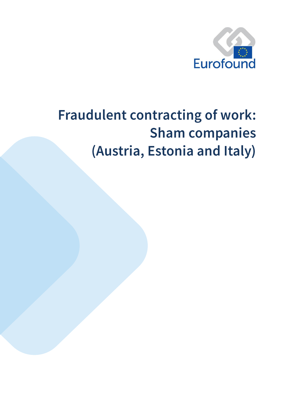

# **Fraudulent contracting of work: Sham companies** (Austria, Estonia and Italy)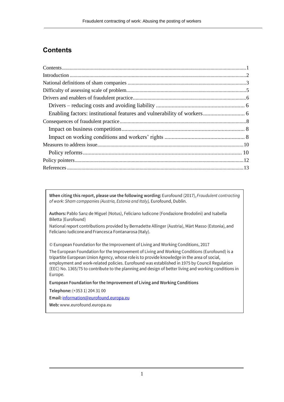# <span id="page-1-0"></span>**Contents**

When citing this report, please use the following wording: Eurofound (2017), Fraudulent contracting of work: Sham comppanies (Austria, Estonia and Italy), Eurofound, Dublin.

Authors: Pablo Sanz de Miguel (Notus), Feliciano Iudicone (Fondazione Brodolini) and Isabella Biletta (Eurofound)

National report contributions provided by Bernadette Allinger (Austria), Märt Masso (Estonia), and Feliciano Iudicone and Francesca Fontanarosa (Italy).

© European Foundation for the Improvement of Living and Working Conditions, 2017

The European Foundation for the Improvement of Living and Working Conditions (Eurofound) is a tripartite European Union Agency, whose role is to provide knowledge in the area of social, employment and work-related policies. Eurofound was established in 1975 by Council Regulation (EEC) No. 1365/75 to contribute to the planning and design of better living and working conditions in Europe.

European Foundation for the Improvement of Living and Working Conditions

Telephone: (+353 1) 204 31 00

Email: information@eurofound.europa.eu

<span id="page-1-1"></span>Web: www.eurofound.europa.eu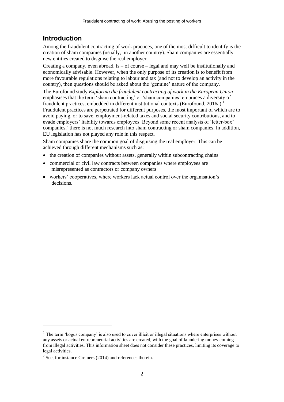## **Introduction**

Among the fraudulent contracting of work practices, one of the most difficult to identify is the creation of sham companies (usually, in another country). Sham companies are essentially new entities created to disguise the real employer.

Creating a company, even abroad, is  $-$  of course  $-$  legal and may well be institutionally and economically advisable. However, when the only purpose of its creation is to benefit from more favourable regulations relating to labour and tax (and not to develop an activity in the country), then questions should be asked about the 'genuine' nature of the company.

The Eurofound study *Exploring the fraudulent contracting of work in the European Union* emphasises that the term 'sham contracting' or 'sham companies' embraces a diversity of fraudulent practices, embedded in different institutional contexts (Eurofound, 2016a). Fraudulent practices are perpetrated for different purposes, the most important of which are to avoid paying, or to save, employment-related taxes and social security contributions, and to evade employers' liability towards employees. Beyond some recent analysis of 'letter-box' companies,<sup>2</sup> there is not much research into sham contracting or sham companies. In addition, EU legislation has not played any role in this respect.

Sham companies share the common goal of disguising the real employer. This can be achieved through different mechanisms such as:

- the creation of companies without assets, generally within subcontracting chains
- commercial or civil law contracts between companies where employees are misrepresented as contractors or company owners
- workers' cooperatives, where workers lack actual control over the organisation's decisions.

1

 $<sup>1</sup>$  The term 'bogus company' is also used to cover illicit or illegal situations where enterprises without</sup> any assets or actual entrepreneurial activities are created, with the goal of laundering money coming from illegal activities. This information sheet does not consider these practices, limiting its coverage to legal activities.

 $2$  See, for instance Cremers (2014) and references therein.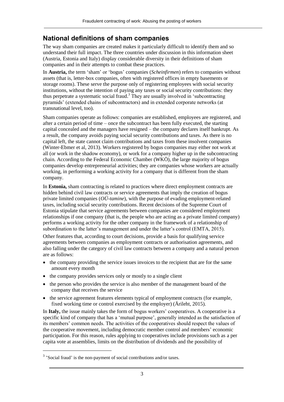## <span id="page-3-0"></span>**National definitions of sham companies**

The way sham companies are created makes it particularly difficult to identify them and so understand their full impact. The three countries under discussion in this information sheet (Austria, Estonia and Italy) display considerable diversity in their definitions of sham companies and in their attempts to combat these practices.

In **Austria,** the term 'sham' or 'bogus' companies (*Scheinfirmen*) refers to companies without assets (that is, letter-box companies, often with registered offices in empty basements or storage rooms). These serve the purpose only of registering employees with social security institutions, without the intention of paying any taxes or social security contributions: they thus perpetrate a systematic social fraud.<sup>3</sup> They are usually involved in 'subcontracting pyramids' (extended chains of subcontractors) and in extended corporate networks (at transnational level, too).

Sham companies operate as follows: companies are established, employees are registered, and after a certain period of time – once the subcontract has been fully executed, the starting capital concealed and the managers have resigned – the company declares itself bankrupt. As a result, the company avoids paying social security contributions and taxes. As there is no capital left, the state cannot claim contributions and taxes from these insolvent companies (Winter-Ebmer et al, 2013). Workers registered by bogus companies may either not work at all (or work in the shadow economy), or work for a company higher up in the subcontracting chain. According to the Federal Economic Chamber (WKÖ), the large majority of bogus companies develop entrepreneurial activities; they are companies whose workers are actually working, in performing a working activity for a company that is different from the sham company.

In **Estonia,** sham contracting is related to practices where direct employment contracts are hidden behind civil law contracts or service agreements that imply the creation of bogus private limited companies (*OÜ-tamine*), with the purpose of evading employment-related taxes, including social security contributions. Recent decisions of the Supreme Court of Estonia stipulate that service agreements between companies are considered employment relationships if one company (that is, the people who are acting as a private limited company) performs a working activity for the other company in the framework of a relationship of subordination to the latter's management and under the latter's control (EMTA, 2015).

Other features that, according to court decisions, provide a basis for qualifying service agreements between companies as employment contracts or authorisation agreements, and also falling under the category of civil law contracts between a company and a natural person are as follows:

- the company providing the service issues invoices to the recipient that are for the same amount every month
- the company provides services only or mostly to a single client
- the person who provides the service is also member of the management board of the company that receives the service
- the service agreement features elements typical of employment contracts (for example, fixed working time or control exercised by the employer) (Ärileht, 2015).

In **Italy,** the issue mainly takes the form of bogus workers' cooperatives. A cooperative is a specific kind of company that has a 'mutual purpose', generally intended as the satisfaction of its members' common needs. The activities of the cooperatives should respect the values of the cooperative movement, including democratic member control and members' economic participation. For this reason, rules applying to cooperatives include provisions such as a per capita vote at assemblies, limits on the distribution of dividends and the possibility of

-

<sup>&</sup>lt;sup>3</sup> 'Social fraud' is the non-payment of social contributions and/or taxes.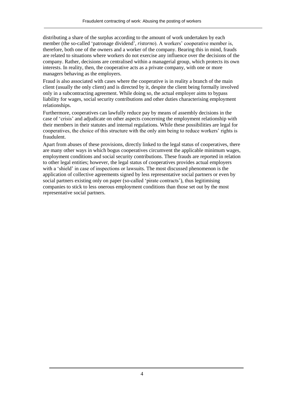distributing a share of the surplus according to the amount of work undertaken by each member (the so-called 'patronage dividend', *ristorno*). A workers' cooperative member is, therefore, both one of the owners and a worker of the company. Bearing this in mind, frauds are related to situations where workers do not exercise any influence over the decisions of the company. Rather, decisions are centralised within a managerial group, which protects its own interests. In reality, then, the cooperative acts as a private company, with one or more managers behaving as the employers.

Fraud is also associated with cases where the cooperative is in reality a branch of the main client (usually the only client) and is directed by it, despite the client being formally involved only in a subcontracting agreement. While doing so, the actual employer aims to bypass liability for wages, social security contributions and other duties characterising employment relationships.

Furthermore, cooperatives can lawfully reduce pay by means of assembly decisions in the case of 'crisis' and adjudicate on other aspects concerning the employment relationship with their members in their statutes and internal regulations. While these possibilities are legal for cooperatives, the choice of this structure with the only aim being to reduce workers' rights is fraudulent.

Apart from abuses of these provisions, directly linked to the legal status of cooperatives, there are many other ways in which bogus cooperatives circumvent the applicable minimum wages, employment conditions and social security contributions. These frauds are reported in relation to other legal entities; however, the legal status of cooperatives provides actual employers with a 'shield' in case of inspections or lawsuits. The most discussed phenomenon is the application of collective agreements signed by less representative social partners or even by social partners existing only on paper (so-called 'pirate contracts'), thus legitimising companies to stick to less onerous employment conditions than those set out by the most representative social partners.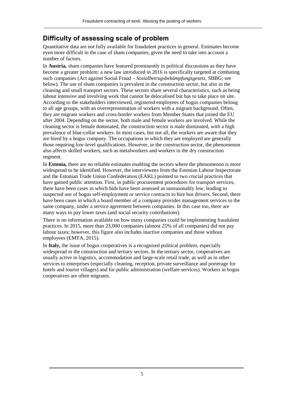## <span id="page-5-0"></span>**Difficulty of assessing scale of problem**

Quantitative data are not fully available for fraudulent practices in general. Estimates become even more difficult in the case of sham companies, given the need to take into account a number of factors.

In **Austria***,* sham companies have featured prominently in political discussions as they have become a greater problem: a new law introduced in 2016 is specifically targeted at combating such companies (Act against Social Fraud – *Sozialbetrugsbekämpfungsgesetz*, SBBG; see below). The use of sham companies is prevalent in the construction sector, but also in the cleaning and small transport sectors. These sectors share several characteristics, such as being labour intensive and involving work that cannot be delocalised but has to take place on site. According to the stakeholders interviewed, registered employees of bogus companies belong to all age groups, with an overrepresentation of workers with a migrant background. Often, they are migrant workers and cross-border workers from Member States that joined the EU after 2004. Depending on the sector, both male and female workers are involved. While the cleaning sector is female dominated, the construction sector is male dominated, with a high prevalence of blue-collar workers. In most cases, but not all, the workers are aware that they are hired by a bogus company. The occupations in which they are employed are generally those requiring low-level qualifications. However, in the construction sector, the phenomenon also affects skilled workers, such as metalworkers and workers in the dry construction segment.

In **Estonia***,* there are no reliable estimates enabling the sectors where the phenomenon is more widespread to be identified. However, the interviewees from the Estonian Labour Inspectorate and the Estonian Trade Union Confederation (EAKL) pointed to two crucial practices that have gained public attention. First, in public procurement procedures for transport services, there have been cases in which bids have been assessed as unreasonably low, leading to suspected use of bogus self-employment or service contracts to hire bus drivers. Second, there have been cases in which a board member of a company provides management services to the same company, under a service agreement between companies. In this case too, there are many ways to pay lower taxes (and social security contributions).

There is no information available on how many companies could be implementing fraudulent practices. In 2015, more than 23,000 companies (almost 25% of all companies) did not pay labour taxes; however, this figure also includes inactive companies and those without employees (EMTA, 2015).

In **Italy,** the issue of bogus cooperatives is a recognised political problem, especially widespread in the construction and tertiary sectors. In the tertiary sector, cooperatives are usually active in logistics, accommodation and large-scale retail trade, as well as in other services to enterprises (especially cleaning, reception, private surveillance and porterage for hotels and tourist villages) and for public administration (welfare services). Workers in bogus cooperatives are often migrants.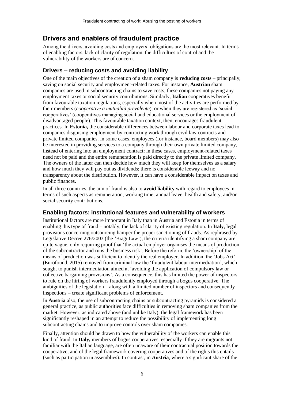# <span id="page-6-0"></span>**Drivers and enablers of fraudulent practice**

Among the drivers, avoiding costs and employers' obligations are the most relevant. In terms of enabling factors, lack of clarity of regulation, the difficulties of control and the vulnerability of the workers are of concern.

## <span id="page-6-1"></span>**Drivers – reducing costs and avoiding liability**

One of the main objectives of the creation of a sham company is **reducing costs** – principally, saving on social security and employment-related taxes. For instance, **Austrian** sham companies are used in subcontracting chains to save costs, these companies not paying any employment taxes or social security contributions. Similarly, **Italian** cooperatives benefit from favourable taxation regulations, especially when most of the activities are performed by their members (*cooperative a mutualità prevalente*), or when they are registered as 'social cooperatives' (cooperatives managing social and educational services or the employment of disadvantaged people). This favourable taxation context, then, encourages fraudulent practices. In **Estonia,** the considerable differences between labour and corporate taxes lead to companies disguising employment by contracting work through civil law contracts and private limited companies. In some cases, employees (for instance, board members) may also be interested in providing services to a company through their own private limited company, instead of entering into an employment contract: in these cases, employment-related taxes need not be paid and the entire remuneration is paid directly to the private limited company. The owners of the latter can then decide how much they will keep for themselves as a salary and how much they will pay out as dividends; there is considerable leeway and no transparency about the distribution. However, it can have a considerable impact on taxes and public finances.

In all three countries, the aim of fraud is also to **avoid liability** with regard to employees in terms of such aspects as remuneration, working time, annual leave, health and safety, and/or social security contributions.

## <span id="page-6-2"></span>**Enabling factors: institutional features and vulnerability of workers**

Institutional factors are more important in Italy than in Austria and Estonia in terms of enabling this type of fraud – notably, the lack of clarity of existing regulation. In **Italy**, legal provisions concerning outsourcing hamper the proper sanctioning of frauds. As rephrased by Legislative Decree 276/2003 (the 'Biagi Law'), the criteria identifying a sham company are quite vague, only requiring proof that 'the actual employer organises the means of production of the subcontractor and runs the business risk'. Before the reform, the 'ownership' of the means of production was sufficient to identify the real employer. In addition, the 'Jobs Act' (Eurofound, 2015) removed from criminal law the 'fraudulent labour intermediation', which sought to punish intermediation aimed at 'avoiding the application of compulsory law or collective bargaining provisions'. As a consequence, this has limited the power of inspectors to rule on the hiring of workers fraudulently employed through a bogus cooperative. The ambiguities of the legislation – along with a limited number of inspectors and consequently inspections – create significant problems of enforcement.

In **Austria** also, the use of subcontracting chains or subcontracting pyramids is considered a general practice, as public authorities face difficulties in removing sham companies from the market. However, as indicated above (and unlike Italy), the legal framework has been significantly reshaped in an attempt to reduce the possibility of implementing long subcontracting chains and to improve controls over sham companies.

Finally, attention should be drawn to how the vulnerability of the workers can enable this kind of fraud. In **Italy,** members of bogus cooperatives, especially if they are migrants not familiar with the Italian language, are often unaware of their contractual position towards the cooperative, and of the legal framework covering cooperatives and of the rights this entails (such as participation in assemblies). In contrast, in **Austria**, where a significant share of the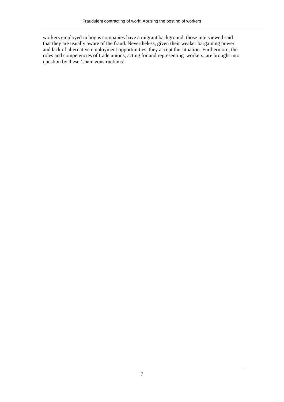workers employed in bogus companies have a migrant background, those interviewed said that they are usually aware of the fraud. Nevertheless, given their weaker bargaining power and lack of alternative employment opportunities, they accept the situation. Furthermore, the roles and competencies of trade unions, acting for and representing workers, are brought into question by these 'sham constructions'.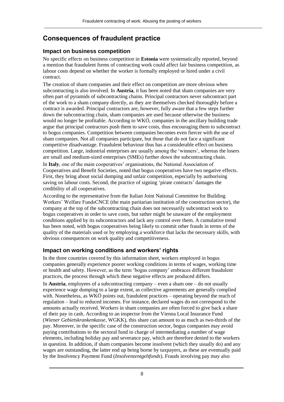# <span id="page-8-0"></span>**Consequences of fraudulent practice**

#### <span id="page-8-1"></span>**Impact on business competition**

No specific effects on business competition in **Estonia** were systematically reported, beyond a mention that fraudulent forms of contracting work could affect fair business competition, as labour costs depend on whether the worker is formally employed or hired under a civil contract.

The creation of sham companies and their effect on competition are more obvious when subcontracting is also involved. In **Austria**, it has been noted that sham companies are very often part of pyramids of subcontracting chains. Principal contractors never subcontract part of the work to a sham company directly, as they are themselves checked thoroughly before a contract is awarded. Principal contractors are, however, fully aware that a few steps further down the subcontracting chain, sham companies are used because otherwise the business would no longer be profitable. According to WKÖ, companies in the ancillary building trade argue that principal contractors push them to save costs, thus encouraging them to subcontract to bogus companies. Competition between companies becomes even fiercer with the use of sham companies. Not all companies participate, but those that do not face a significant competitive disadvantage. Fraudulent behaviour thus has a considerable effect on business competition. Large, industrial enterprises are usually among the 'winners', whereas the losers are small and medium-sized enterprises (SMEs) further down the subcontracting chain.

In **Italy**, one of the main cooperatives' organisations, the National Association of Cooperatives and Benefit Societies, noted that bogus cooperatives have two negative effects. First, they bring about social dumping and unfair competition, especially by authorising saving on labour costs. Second, the practice of signing 'pirate contracts' damages the credibility of all cooperatives.

According to the representative from the Italian Joint National Committee for Building Workers' Welfare FundsCNCE (the main paritarian institution of the construction sector), the company at the top of the subcontracting chain does not necessarily subcontract work to bogus cooperatives in order to save costs, but rather might be unaware of the employment conditions applied by its subcontractors and lack any control over them. A cumulative trend has been noted, with bogus cooperatives being likely to commit other frauds in terms of the quality of the materials used or by employing a workforce that lacks the necessary skills, with obvious consequences on work quality and competitiveness.

## <span id="page-8-2"></span>**Impact on working conditions and workers' rights**

In the three countries covered by this information sheet, workers employed in bogus companies generally experience poorer working conditions in terms of wages, working time or health and safety. However, as the term 'bogus company' embraces different fraudulent practices, the process through which these negative effects are produced differs.

In **Austria**, employees of a subcontracting company – even a sham one – do not usually experience wage dumping to a large extent, as collective agreements are generally complied with. Nonetheless, as WKÖ points out, fraudulent practices – operating beyond the reach of regulation – lead to reduced incomes. For instance, declared wages do not correspond to the amounts actually received. Workers in sham companies are often forced to give back a share of their pay in cash. According to an inspector from the Vienna Local Insurance Fund (*Wiener Gebietskrankenkasse,* WGKK), this share can amount to as much as two-thirds of the pay. Moreover, in the specific case of the construction sector, bogus companies may avoid paying contributions to the sectoral fund in charge of intermediating a number of wage elements, including holiday pay and severance pay, which are therefore denied to the workers in question. In addition, if sham companies become insolvent (which they usually do) and any wages are outstanding, the latter end up being borne by taxpayers, as these are eventually paid by the Insolvency Payment Fund (*Insolvenzentgeltfonds*). Frauds involving pay may also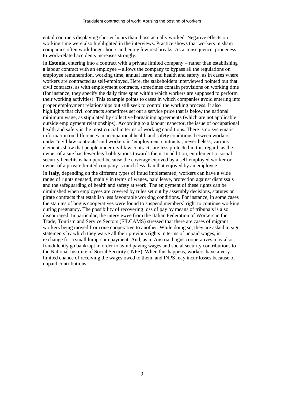entail contracts displaying shorter hours than those actually worked. Negative effects on working time were also highlighted in the interviews. Practice shows that workers in sham companies often work longer hours and enjoy few rest breaks. As a consequence, proneness to work-related accidents increases strongly.

In **Estonia,** entering into a contract with a private limited company – rather than establishing a labour contract with an employee – allows the company to bypass all the regulations on employee remuneration, working time, annual leave, and health and safety, as in cases where workers are contracted as self-employed. Here, the stakeholders interviewed pointed out that civil contracts, as with employment contracts, sometimes contain provisions on working time (for instance, they specify the daily time span within which workers are supposed to perform their working activities). This example points to cases in which companies avoid entering into proper employment relationships but still seek to control the working process. It also highlights that civil contracts sometimes set out a service price that is below the national minimum wage, as stipulated by collective bargaining agreements (which are not applicable outside employment relationships). According to a labour inspector, the issue of occupational health and safety is the most crucial in terms of working conditions. There is no systematic information on differences in occupational health and safety conditions between workers under 'civil law contracts' and workers in 'employment contracts'; nevertheless, various elements show that people under civil law contracts are less protected in this regard, as the owner of a site has fewer legal obligations towards them. In addition, entitlement to social security benefits is hampered because the coverage enjoyed by a self-employed worker or owner of a private limited company is much less than that enjoyed by an employee.

In **Italy,** depending on the different types of fraud implemented, workers can have a wide range of rights negated, mainly in terms of wages, paid leave, protection against dismissals and the safeguarding of health and safety at work. The enjoyment of these rights can be diminished when employees are covered by rules set out by assembly decisions, statutes or pirate contracts that establish less favourable working conditions. For instance, in some cases the statutes of bogus cooperatives were found to suspend members' right to continue working during pregnancy. The possibility of recovering loss of pay by means of tribunals is also discouraged. In particular, the interviewee from the Italian Federation of Workers in the Trade, Tourism and Service Sectors (FILCAMS) stressed that there are cases of migrant workers being moved from one cooperative to another. While doing so, they are asked to sign statements by which they waive all their previous rights in terms of unpaid wages, in exchange for a small lump-sum payment. And, as in Austria, bogus cooperatives may also fraudulently go bankrupt in order to avoid paying wages and social security contributions to the National Institute of Social Security (INPS). When this happens, workers have a very limited chance of receiving the wages owed to them, and INPS may incur losses because of unpaid contributions.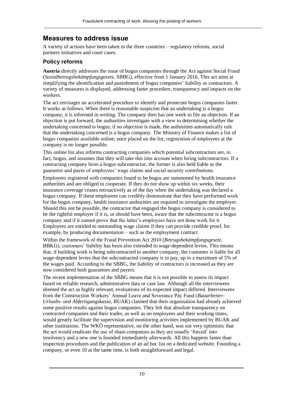## <span id="page-10-0"></span>**Measures to address issue**

A variety of actions have been taken in the three countries – regulatory reforms, social partners initiatives and court cases.

## <span id="page-10-1"></span>**Policy reforms**

**Austria** directly addresses the issue of bogus companies through the Act against Social Fraud (*Sozialbetrugsbekämpfungsgesetz,* SBBG), effective from 1 January 2016. This act aims at simplifying the identification and punishment of bogus companies' liability as contractors. A variety of measures is displayed, addressing faster procedure, transparency and impacts on the workers.

The act envisages an accelerated procedure to identify and prosecute bogus companies faster. It works as follows. When there is reasonable suspicion that an undertaking is a bogus company, it is informed in writing. The company then has one week to file an objection. If an objection is put forward, the authorities investigate with a view to determining whether the undertaking concerned is bogus; if no objection is made, the authorities automatically rule that the undertaking concerned is a bogus company. The Ministry of Finance makes a list of bogus companies available online; once placed on the list, registration of employees at the company is no longer possible.

This online list also informs contracting companies which potential subcontractors are, in fact, bogus, and assumes that they will take this into account when hiring subcontractors. If a contracting company hires a bogus subcontractor, the former is also held liable as the guarantor and payer of employees' wage claims and social security contributions.

Employees registered with companies found to be bogus are summoned by health insurance authorities and are obliged to cooperate. If they do not show up within six weeks, their insurance coverage ceases retroactively as of the day when the undertaking was declared a bogus company. If these employees can credibly demonstrate that they have performed work for the bogus company, health insurance authorities are required to investigate the employer. Should this not be possible, the contractor that engaged the bogus company is considered to be the rightful employer if it is, or should have been, aware that the subcontractor is a bogus company and if it cannot prove that the latter's employees have not done work for it. Employees are entitled to outstanding wage claims if they can provide credible proof, for example, by producing documentation – such as the employment contract.

Within the framework of the Fraud Prevention Act 2010 (*Betrugsbekämpfungsgesetz,* BBKG), customers' liability has been also extended to wage-dependent levies. This means that, if building work is being subcontracted to another company, the customer is liable for all wage-dependent levies that the subcontracted company is to pay, up to a maximum of 5% of the wages paid. According to the SBBG, the liability of contractors is increased as they are now considered both guarantors and payers.

The recent implementation of the SBBG means that it is not possible to assess its impact based on reliable research, administrative data or case law. Although all the interviewees deemed the act as highly relevant, evaluations of its expected impact differed. Interviewees from the Construction Workers' Annual Leave and Severance Pay Fund (*Bauarbeiter-Urlaubs- und Abfertigungskasse,* BUAK) claimed that their organisation had already achieved some positive results against bogus companies. They felt that absolute transparency on contracted companies and their trades, as well as on employees and their working times, would greatly facilitate the supervision and monitoring activities implemented by BUAK and other institutions. The WKÖ representative, on the other hand, was not very optimistic that the act would eradicate the use of sham companies as they are usually 'forced' into insolvency and a new one is founded immediately afterwards. All this happens faster than inspection procedures and the publication of an ad hoc list on a dedicated website. Founding a company, or even 10 at the same time, is both straightforward and legal.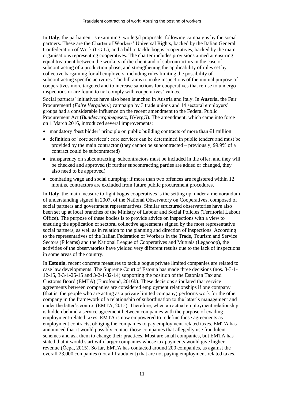In **Italy**, the parliament is examining two legal proposals, following campaigns by the social partners. These are the Charter of Workers' Universal Rights, backed by the Italian General Confederation of Work (CGIL), and a bill to tackle bogus cooperatives, backed by the main organisations representing cooperatives. The charter includes provisions aimed at ensuring equal treatment between the workers of the client and of subcontractors in the case of subcontracting of a production phase, and strengthening the applicability of rules set by collective bargaining for all employers, including rules limiting the possibility of subcontracting specific activities. The bill aims to make inspections of the mutual purpose of cooperatives more targeted and to increase sanctions for cooperatives that refuse to undergo inspections or are found to not comply with cooperatives' values.

Social partners' initiatives have also been launched in Austria and Italy. In **Austria**, the Fair Procurement! (*Faire Vergaben!*) campaign by 3 trade unions and 14 sectoral employers' groups had a considerable influence on the recent amendment to the Federal Public Procurement Act (*Bundesvergabegesetz,* BVergG). The amendment, which came into force on 1 March 2016, introduced several improvements:

- mandatory 'best bidder' principle on public building contracts of more than  $\epsilon_1$  million
- definition of 'core services': core services can be determined in public tenders and must be provided by the main contractor (they cannot be subcontracted – previously, 99.9% of a contract could be subcontracted)
- transparency on subcontracting: subcontractors must be included in the offer, and they will be checked and approved (if further subcontracting parties are added or changed, they also need to be approved)
- combating wage and social dumping: if more than two offences are registered within 12 months, contractors are excluded from future public procurement procedures.

In **Italy**, the main measure to fight bogus cooperatives is the setting up, under a memorandum of understanding signed in 2007, of the National Observatory on Cooperatives, composed of social partners and government representatives. Similar structured observatories have also been set up at local branches of the Ministry of Labour and Social Policies (Territorial Labour Office). The purpose of these bodies is to provide advice on inspections with a view to ensuring the application of sectoral collective agreements signed by the most representative social partners, as well as in relation to the planning and direction of inspections. According to the representatives of the Italian Federation of Workers in the Trade, Tourism and Service Sectors (Filcams) and the National League of Cooperatives and Mutuals (Legacoop), the activities of the observatories have yielded very different results due to the lack of inspections in some areas of the country.

In **Estonia**, recent concrete measures to tackle bogus private limited companies are related to case law developments. The Supreme Court of Estonia has made three decisions (nos. 3-3-1- 12-15, 3-3-1-25-15 and 3-2-1-82-14) supporting the position of the Estonian Tax and Customs Board [\(EMTA\)](http://www.emta.ee/index.php?lang=en) (Eurofound, 2016b). These decisions stipulated that service agreements between companies are considered employment relationships if one company (that is, the people who are acting as a private limited company) performs work for the other company in the framework of a relationship of subordination to the latter's management and under the latter's control (EMTA, 2015). Therefore, when an actual employment relationship is hidden behind a service agreement between companies with the purpose of evading employment-related taxes, EMTA is now empowered to redefine those agreements as employment contracts, obliging the companies to pay employment-related taxes. EMTA has announced that it would possibly contact those companies that allegedly use fraudulent schemes and ask them to change their practices. Most are small companies, but EMTA has stated that it would start with larger companies whose tax payments would give higher revenue (Õepa, 2015). So far, EMTA has contacted around 200 companies, as against the overall 23,000 companies (not all fraudulent) that are not paying employment-related taxes.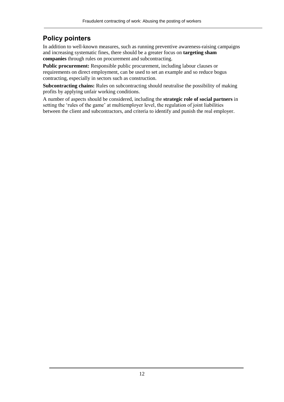# <span id="page-12-0"></span>**Policy pointers**

In addition to well-known measures, such as running preventive awareness-raising campaigns and increasing systematic fines, there should be a greater focus on **targeting sham companies** through rules on procurement and subcontracting.

**Public procurement:** Responsible public procurement, including labour clauses or requirements on direct employment, can be used to set an example and so reduce bogus contracting, especially in sectors such as construction.

**Subcontracting chains:** Rules on subcontracting should neutralise the possibility of making profits by applying unfair working conditions.

A number of aspects should be considered, including the **strategic role of social partners** in setting the 'rules of the game' at multiemployer level, the regulation of joint liabilities between the client and subcontractors, and criteria to identify and punish the real employer.